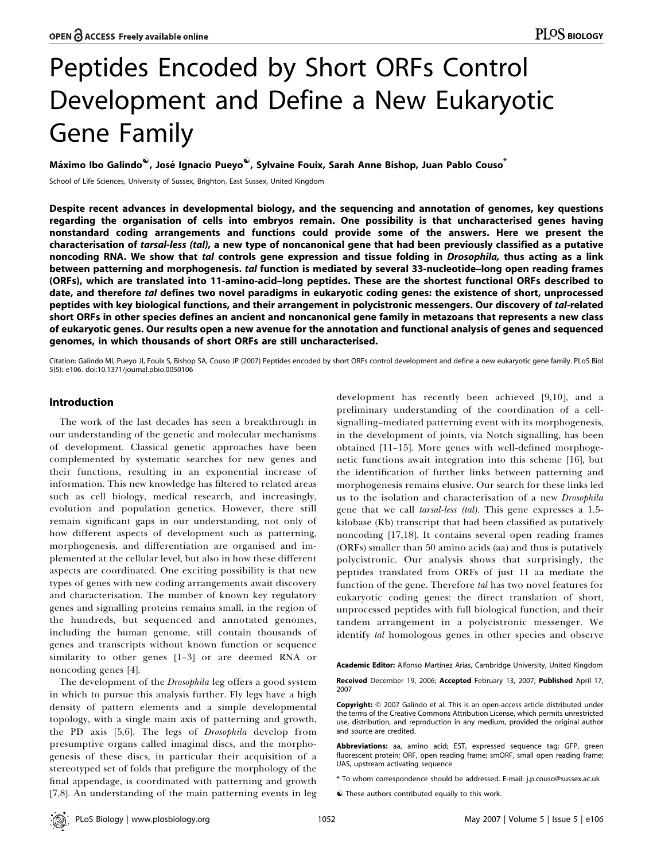# Peptides Encoded by Short ORFs Control Development and Define a New Eukaryotic Gene Family

Máximo Ibo Galindo<sup>v</sup>, José Ignacio Pueyo<sup>v</sup>, Sylvaine Fouix, Sarah Anne Bishop, Juan Pablo Couso<sup>\*</sup>

School of Life Sciences, University of Sussex, Brighton, East Sussex, United Kingdom

Despite recent advances in developmental biology, and the sequencing and annotation of genomes, key questions regarding the organisation of cells into embryos remain. One possibility is that uncharacterised genes having nonstandard coding arrangements and functions could provide some of the answers. Here we present the characterisation of tarsal-less (tal), a new type of noncanonical gene that had been previously classified as a putative noncoding RNA. We show that tal controls gene expression and tissue folding in *Drosophila*, thus acting as a link between patterning and morphogenesis. tal function is mediated by several 33-nucleotide–long open reading frames (ORFs), which are translated into 11-amino-acid–long peptides. These are the shortest functional ORFs described to date, and therefore tal defines two novel paradigms in eukaryotic coding genes: the existence of short, unprocessed peptides with key biological functions, and their arrangement in polycistronic messengers. Our discovery of tal-related short ORFs in other species defines an ancient and noncanonical gene family in metazoans that represents a new class of eukaryotic genes. Our results open a new avenue for the annotation and functional analysis of genes and sequenced genomes, in which thousands of short ORFs are still uncharacterised.

Citation: Galindo MI, Pueyo JI, Fouix S, Bishop SA, Couso JP (2007) Peptides encoded by short ORFs control development and define a new eukaryotic gene family. PLoS Biol 5(5): e106. doi:10.1371/journal.pbio.0050106

# Introduction

The work of the last decades has seen a breakthrough in our understanding of the genetic and molecular mechanisms of development. Classical genetic approaches have been complemented by systematic searches for new genes and their functions, resulting in an exponential increase of information. This new knowledge has filtered to related areas such as cell biology, medical research, and increasingly, evolution and population genetics. However, there still remain significant gaps in our understanding, not only of how different aspects of development such as patterning, morphogenesis, and differentiation are organised and implemented at the cellular level, but also in how these different aspects are coordinated. One exciting possibility is that new types of genes with new coding arrangements await discovery and characterisation. The number of known key regulatory genes and signalling proteins remains small, in the region of the hundreds, but sequenced and annotated genomes, including the human genome, still contain thousands of genes and transcripts without known function or sequence similarity to other genes [1–3] or are deemed RNA or noncoding genes [4].

The development of the *Drosophila* leg offers a good system in which to pursue this analysis further. Fly legs have a high density of pattern elements and a simple developmental topology, with a single main axis of patterning and growth, the PD axis [5,6]. The legs of Drosophila develop from presumptive organs called imaginal discs, and the morphogenesis of these discs, in particular their acquisition of a stereotyped set of folds that prefigure the morphology of the final appendage, is coordinated with patterning and growth [7,8]. An understanding of the main patterning events in leg development has recently been achieved [9,10], and a preliminary understanding of the coordination of a cellsignalling–mediated patterning event with its morphogenesis, in the development of joints, via Notch signalling, has been obtained [11–15]. More genes with well-defined morphogenetic functions await integration into this scheme [16], but the identification of further links between patterning and morphogenesis remains elusive. Our search for these links led us to the isolation and characterisation of a new Drosophila gene that we call *tarsal-less* (tal). This gene expresses a 1.5kilobase (Kb) transcript that had been classified as putatively noncoding [17,18]. It contains several open reading frames (ORFs) smaller than 50 amino acids (aa) and thus is putatively polycistronic. Our analysis shows that surprisingly, the peptides translated from ORFs of just 11 aa mediate the function of the gene. Therefore tal has two novel features for eukaryotic coding genes: the direct translation of short, unprocessed peptides with full biological function, and their tandem arrangement in a polycistronic messenger. We identify tal homologous genes in other species and observe

Academic Editor: Alfonso Martinez Arias, Cambridge University, United Kingdom

Received December 19, 2006; Accepted February 13, 2007; Published April 17, 2007

Copyright: © 2007 Galindo et al. This is an open-access article distributed under the terms of the Creative Commons Attribution License, which permits unrestricted use, distribution, and reproduction in any medium, provided the original author and source are credited.

Abbreviations: aa, amino acid; EST, expressed sequence tag; GFP, green fluorescent protein; ORF, open reading frame; smORF, small open reading frame; UAS, upstream activating sequence

\* To whom correspondence should be addressed. E-mail: j.p.couso@sussex.ac.uk

 $\hat{\mathbf{v}}$  These authors contributed equally to this work.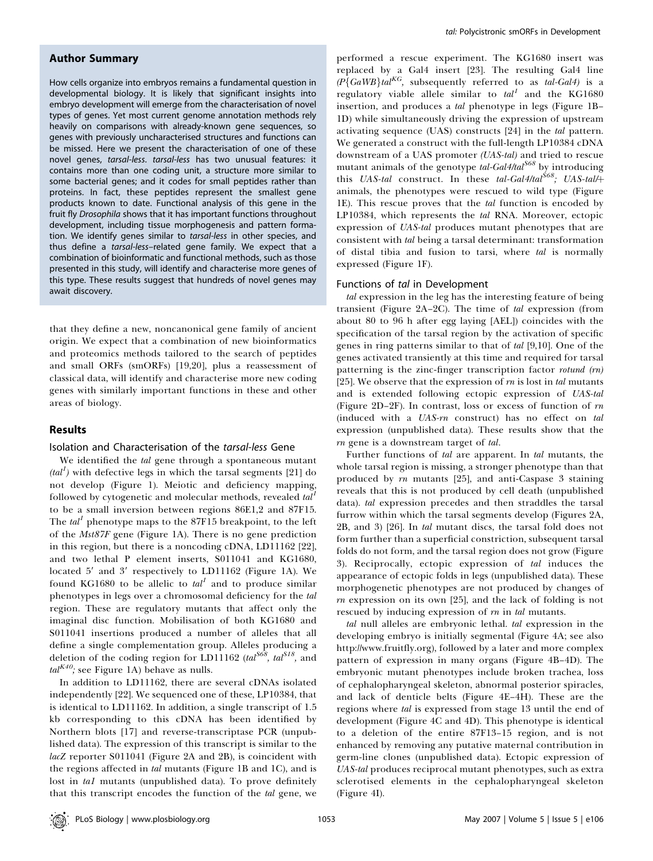## Author Summary

How cells organize into embryos remains a fundamental question in developmental biology. It is likely that significant insights into embryo development will emerge from the characterisation of novel types of genes. Yet most current genome annotation methods rely heavily on comparisons with already-known gene sequences, so genes with previously uncharacterised structures and functions can be missed. Here we present the characterisation of one of these novel genes, tarsal-less. tarsal-less has two unusual features: it contains more than one coding unit, a structure more similar to some bacterial genes; and it codes for small peptides rather than proteins. In fact, these peptides represent the smallest gene products known to date. Functional analysis of this gene in the fruit fly Drosophila shows that it has important functions throughout development, including tissue morphogenesis and pattern formation. We identify genes similar to tarsal-less in other species, and thus define a tarsal-less–related gene family. We expect that a combination of bioinformatic and functional methods, such as those presented in this study, will identify and characterise more genes of this type. These results suggest that hundreds of novel genes may await discovery.

that they define a new, noncanonical gene family of ancient origin. We expect that a combination of new bioinformatics and proteomics methods tailored to the search of peptides and small ORFs (smORFs) [19,20], plus a reassessment of classical data, will identify and characterise more new coding genes with similarly important functions in these and other areas of biology.

#### Results

#### Isolation and Characterisation of the tarsal-less Gene

We identified the tal gene through a spontaneous mutant  $(tal<sup>1</sup>)$  with defective legs in which the tarsal segments [21] do not develop (Figure 1). Meiotic and deficiency mapping, followed by cytogenetic and molecular methods, revealed  $tal<sup>1</sup>$ to be a small inversion between regions 86E1,2 and 87F15. The  $tal<sup>1</sup>$  phenotype maps to the 87F15 breakpoint, to the left of the Mst87F gene (Figure 1A). There is no gene prediction in this region, but there is a noncoding cDNA, LD11162 [22], and two lethal P element inserts, S011041 and KG1680, located  $5'$  and  $3'$  respectively to LD11162 (Figure 1A). We found KG1680 to be allelic to  $tal<sup>1</sup>$  and to produce similar phenotypes in legs over a chromosomal deficiency for the tal region. These are regulatory mutants that affect only the imaginal disc function. Mobilisation of both KG1680 and S011041 insertions produced a number of alleles that all define a single complementation group. Alleles producing a deletion of the coding region for LD11162 (tal<sup>568</sup>, tal<sup>518</sup>, and  $tal^{K40}$ ; see Figure 1A) behave as nulls.

In addition to LD11162, there are several cDNAs isolated independently [22]. We sequenced one of these, LP10384, that is identical to LD11162. In addition, a single transcript of 1.5 kb corresponding to this cDNA has been identified by Northern blots [17] and reverse-transcriptase PCR (unpublished data). The expression of this transcript is similar to the lacZ reporter S011041 (Figure 2A and 2B), is coincident with the regions affected in *tal* mutants (Figure 1B and 1C), and is lost in tal mutants (unpublished data). To prove definitely that this transcript encodes the function of the tal gene, we

performed a rescue experiment. The KG1680 insert was replaced by a Gal4 insert [23]. The resulting Gal4 line  $(P\{GaWB\}ta^{KG}$ , subsequently referred to as  $tal-Gal4$ ) is a regulatory viable allele similar to  $tal<sup>1</sup>$  and the KG1680 insertion, and produces a tal phenotype in legs (Figure 1B– 1D) while simultaneously driving the expression of upstream activating sequence (UAS) constructs [24] in the tal pattern. We generated a construct with the full-length LP10384 cDNA downstream of a UAS promoter (UAS-tal) and tried to rescue mutant animals of the genotype  $tal-Gal4/tal^{S68}$  by introducing this UAS-tal construct. In these tal-Gal4/tal<sup>568</sup>; UAS-tal/+ animals, the phenotypes were rescued to wild type (Figure 1E). This rescue proves that the tal function is encoded by LP10384, which represents the tal RNA. Moreover, ectopic expression of UAS-tal produces mutant phenotypes that are consistent with tal being a tarsal determinant: transformation of distal tibia and fusion to tarsi, where tal is normally expressed (Figure 1F).

#### Functions of tal in Development

tal expression in the leg has the interesting feature of being transient (Figure 2A–2C). The time of tal expression (from about 80 to 96 h after egg laying [AEL]) coincides with the specification of the tarsal region by the activation of specific genes in ring patterns similar to that of tal [9,10]. One of the genes activated transiently at this time and required for tarsal patterning is the zinc-finger transcription factor rotund (rn) [25]. We observe that the expression of  $m$  is lost in tal mutants and is extended following ectopic expression of UAS-tal (Figure 2D–2F). In contrast, loss or excess of function of rn (induced with a UAS-rn construct) has no effect on tal expression (unpublished data). These results show that the rn gene is a downstream target of tal.

Further functions of tal are apparent. In tal mutants, the whole tarsal region is missing, a stronger phenotype than that produced by rn mutants [25], and anti-Caspase 3 staining reveals that this is not produced by cell death (unpublished data). tal expression precedes and then straddles the tarsal furrow within which the tarsal segments develop (Figures 2A, 2B, and 3) [26]. In tal mutant discs, the tarsal fold does not form further than a superficial constriction, subsequent tarsal folds do not form, and the tarsal region does not grow (Figure 3). Reciprocally, ectopic expression of tal induces the appearance of ectopic folds in legs (unpublished data). These morphogenetic phenotypes are not produced by changes of  $rn$  expression on its own [25], and the lack of folding is not rescued by inducing expression of  $m$  in tal mutants.

tal null alleles are embryonic lethal. tal expression in the developing embryo is initially segmental (Figure 4A; see also http://www.fruitfly.org), followed by a later and more complex pattern of expression in many organs (Figure 4B–4D). The embryonic mutant phenotypes include broken trachea, loss of cephalopharyngeal skeleton, abnormal posterior spiracles, and lack of denticle belts (Figure 4E–4H). These are the regions where tal is expressed from stage 13 until the end of development (Figure 4C and 4D). This phenotype is identical to a deletion of the entire 87F13–15 region, and is not enhanced by removing any putative maternal contribution in germ-line clones (unpublished data). Ectopic expression of UAS-tal produces reciprocal mutant phenotypes, such as extra sclerotised elements in the cephalopharyngeal skeleton (Figure 4I).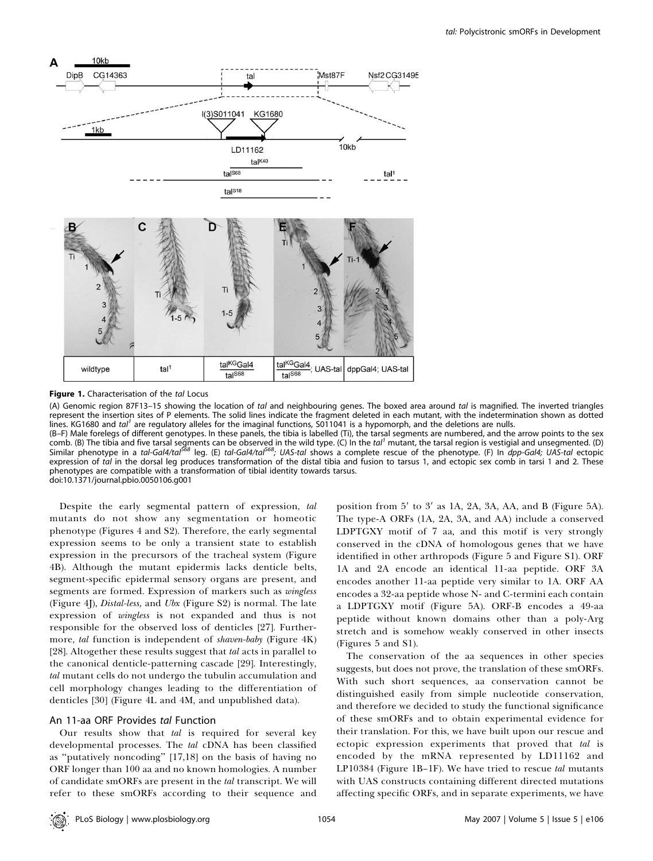

Figure 1. Characterisation of the tal Locus

(A) Genomic region 87F13-15 showing the location of tal and neighbouring genes. The boxed area around tal is magnified. The inverted triangles represent the insertion sites of P elements. The solid lines indicate the fragment deleted in each mutant, with the indetermination shown as dotted lines. KG1680 and tal<sup>1</sup> are regulatory alleles for the imaginal functions, S011041 is a hypomorph, and the deletions are nulls.

(B–F) Male forelegs of different genotypes. In these panels, the tibia is labelled (Ti), the tarsal segments are numbered, and the arrow points to the sex comb. (B) The tibia and five tarsal segments can be observed in the wild type. (C) In the tal<sup>1</sup> mutant, the tarsal region is vestigial and unsegmented. (D) Similar phenotype in a *tal-Gal4/tal<sup>568</sup>* leg. (E) *tal-Gal4/tal<sup>568</sup>; UAS-tal shows* a complete rescue of the phenotype. (F) In *dpp-Gal4; UAS-tal* ectopic expression of tal in the dorsal leg produces transformation of the distal tibia and fusion to tarsus 1, and ectopic sex comb in tarsi 1 and 2. These phenotypes are compatible with a transformation of tibial identity towards tarsus. doi:10.1371/journal.pbio.0050106.g001

Despite the early segmental pattern of expression, tal mutants do not show any segmentation or homeotic phenotype (Figures 4 and S2). Therefore, the early segmental expression seems to be only a transient state to establish expression in the precursors of the tracheal system (Figure 4B). Although the mutant epidermis lacks denticle belts, segment-specific epidermal sensory organs are present, and segments are formed. Expression of markers such as *wingless* (Figure 4J), *Distal-less*, and *Ubx* (Figure S2) is normal. The late expression of wingless is not expanded and thus is not responsible for the observed loss of denticles [27]. Furthermore, tal function is independent of shaven-baby (Figure 4K) [28]. Altogether these results suggest that tal acts in parallel to the canonical denticle-patterning cascade [29]. Interestingly, tal mutant cells do not undergo the tubulin accumulation and cell morphology changes leading to the differentiation of denticles [30] (Figure 4L and 4M, and unpublished data).

#### An 11-aa ORF Provides tal Function

Our results show that tal is required for several key developmental processes. The tal cDNA has been classified as ''putatively noncoding'' [17,18] on the basis of having no ORF longer than 100 aa and no known homologies. A number of candidate smORFs are present in the tal transcript. We will refer to these smORFs according to their sequence and

position from  $5'$  to  $3'$  as 1A, 2A, 3A, AA, and B (Figure 5A). The type-A ORFs (1A, 2A, 3A, and AA) include a conserved LDPTGXY motif of 7 aa, and this motif is very strongly conserved in the cDNA of homologous genes that we have identified in other arthropods (Figure 5 and Figure S1). ORF 1A and 2A encode an identical 11-aa peptide. ORF 3A encodes another 11-aa peptide very similar to 1A. ORF AA encodes a 32-aa peptide whose N- and C-termini each contain a LDPTGXY motif (Figure 5A). ORF-B encodes a 49-aa peptide without known domains other than a poly-Arg stretch and is somehow weakly conserved in other insects (Figures 5 and S1).

The conservation of the aa sequences in other species suggests, but does not prove, the translation of these smORFs. With such short sequences, aa conservation cannot be distinguished easily from simple nucleotide conservation, and therefore we decided to study the functional significance of these smORFs and to obtain experimental evidence for their translation. For this, we have built upon our rescue and ectopic expression experiments that proved that tal is encoded by the mRNA represented by LD11162 and LP10384 (Figure 1B–1F). We have tried to rescue tal mutants with UAS constructs containing different directed mutations affecting specific ORFs, and in separate experiments, we have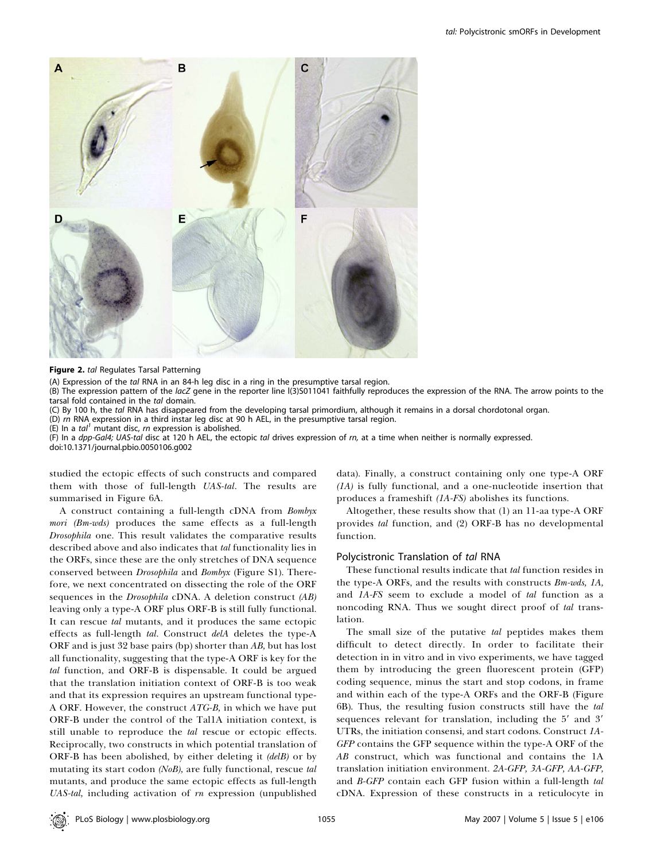

#### Figure 2. tal Regulates Tarsal Patterning

(A) Expression of the tal RNA in an 84-h leg disc in a ring in the presumptive tarsal region.

(B) The expression pattern of the lacZ gene in the reporter line I(3)S011041 faithfully reproduces the expression of the RNA. The arrow points to the tarsal fold contained in the tal domain.

(C) By 100 h, the tal RNA has disappeared from the developing tarsal primordium, although it remains in a dorsal chordotonal organ.

(D) rn RNA expression in a third instar leg disc at 90 h AEL, in the presumptive tarsal region.

(E) In a  $tal<sup>1</sup>$  mutant disc, rn expression is abolished.

(F) In a dpp-Gal4; UAS-tal disc at 120 h AEL, the ectopic tal drives expression of rn, at a time when neither is normally expressed. doi:10.1371/journal.pbio.0050106.g002

studied the ectopic effects of such constructs and compared them with those of full-length UAS-tal. The results are summarised in Figure 6A.

A construct containing a full-length cDNA from Bombyx mori (Bm-wds) produces the same effects as a full-length Drosophila one. This result validates the comparative results described above and also indicates that tal functionality lies in the ORFs, since these are the only stretches of DNA sequence conserved between Drosophila and Bombyx (Figure S1). Therefore, we next concentrated on dissecting the role of the ORF sequences in the *Drosophila* cDNA. A deletion construct (AB) leaving only a type-A ORF plus ORF-B is still fully functional. It can rescue tal mutants, and it produces the same ectopic effects as full-length tal. Construct delA deletes the type-A ORF and is just 32 base pairs (bp) shorter than AB, but has lost all functionality, suggesting that the type-A ORF is key for the tal function, and ORF-B is dispensable. It could be argued that the translation initiation context of ORF-B is too weak and that its expression requires an upstream functional type-A ORF. However, the construct  $ATG-B$ , in which we have put ORF-B under the control of the Tal1A initiation context, is still unable to reproduce the *tal* rescue or ectopic effects. Reciprocally, two constructs in which potential translation of ORF-B has been abolished, by either deleting it (delB) or by mutating its start codon (NoB), are fully functional, rescue tal mutants, and produce the same ectopic effects as full-length UAS-tal, including activation of rn expression (unpublished data). Finally, a construct containing only one type-A ORF (1A) is fully functional, and a one-nucleotide insertion that produces a frameshift (1A-FS) abolishes its functions.

Altogether, these results show that (1) an 11-aa type-A ORF provides tal function, and (2) ORF-B has no developmental function.

#### Polycistronic Translation of tal RNA

These functional results indicate that tal function resides in the type-A ORFs, and the results with constructs Bm-wds, 1A, and 1A-FS seem to exclude a model of tal function as a noncoding RNA. Thus we sought direct proof of tal translation.

The small size of the putative tal peptides makes them difficult to detect directly. In order to facilitate their detection in in vitro and in vivo experiments, we have tagged them by introducing the green fluorescent protein (GFP) coding sequence, minus the start and stop codons, in frame and within each of the type-A ORFs and the ORF-B (Figure 6B). Thus, the resulting fusion constructs still have the tal sequences relevant for translation, including the  $5'$  and  $3'$ UTRs, the initiation consensi, and start codons. Construct 1A-GFP contains the GFP sequence within the type-A ORF of the AB construct, which was functional and contains the 1A translation initiation environment. 2A-GFP, 3A-GFP, AA-GFP, and B-GFP contain each GFP fusion within a full-length tal cDNA. Expression of these constructs in a reticulocyte in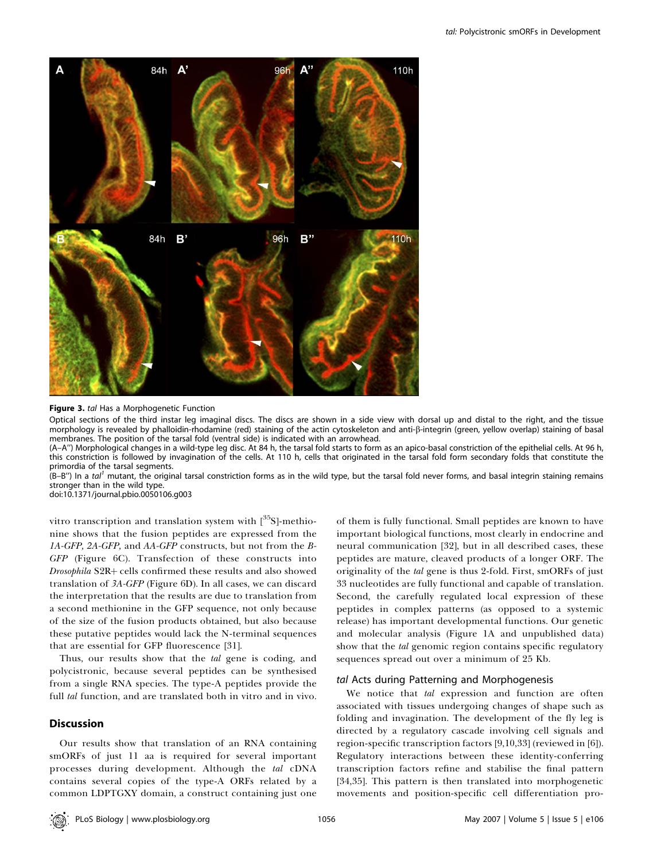

Figure 3. tal Has a Morphogenetic Function

Optical sections of the third instar leg imaginal discs. The discs are shown in a side view with dorsal up and distal to the right, and the tissue morphology is revealed by phalloidin-rhodamine (red) staining of the actin cytoskeleton and anti-b-integrin (green, yellow overlap) staining of basal membranes. The position of the tarsal fold (ventral side) is indicated with an arrowhead.

(A–A'') Morphological changes in a wild-type leg disc. At 84 h, the tarsal fold starts to form as an apico-basal constriction of the epithelial cells. At 96 h, this constriction is followed by invagination of the cells. At 110 h, cells that originated in the tarsal fold form secondary folds that constitute the primordia of the tarsal segments.

 $(B-B'')$  In a tal<sup>1</sup> mutant, the original tarsal constriction forms as in the wild type, but the tarsal fold never forms, and basal integrin staining remains stronger than in the wild type.

doi:10.1371/journal.pbio.0050106.g003

vitro transcription and translation system with  $[^{35}S]$ -methionine shows that the fusion peptides are expressed from the 1A-GFP, 2A-GFP, and AA-GFP constructs, but not from the B-GFP (Figure 6C). Transfection of these constructs into Drosophila S2R+ cells confirmed these results and also showed translation of 3A-GFP (Figure 6D). In all cases, we can discard the interpretation that the results are due to translation from a second methionine in the GFP sequence, not only because of the size of the fusion products obtained, but also because these putative peptides would lack the N-terminal sequences that are essential for GFP fluorescence [31].

Thus, our results show that the tal gene is coding, and polycistronic, because several peptides can be synthesised from a single RNA species. The type-A peptides provide the full *tal* function, and are translated both in vitro and in vivo.

# **Discussion**

Our results show that translation of an RNA containing smORFs of just 11 aa is required for several important processes during development. Although the tal cDNA contains several copies of the type-A ORFs related by a common LDPTGXY domain, a construct containing just one of them is fully functional. Small peptides are known to have important biological functions, most clearly in endocrine and neural communication [32], but in all described cases, these peptides are mature, cleaved products of a longer ORF. The originality of the tal gene is thus 2-fold. First, smORFs of just 33 nucleotides are fully functional and capable of translation. Second, the carefully regulated local expression of these peptides in complex patterns (as opposed to a systemic release) has important developmental functions. Our genetic and molecular analysis (Figure 1A and unpublished data) show that the tal genomic region contains specific regulatory sequences spread out over a minimum of 25 Kb.

## tal Acts during Patterning and Morphogenesis

We notice that tal expression and function are often associated with tissues undergoing changes of shape such as folding and invagination. The development of the fly leg is directed by a regulatory cascade involving cell signals and region-specific transcription factors [9,10,33] (reviewed in [6]). Regulatory interactions between these identity-conferring transcription factors refine and stabilise the final pattern [34,35]. This pattern is then translated into morphogenetic movements and position-specific cell differentiation pro-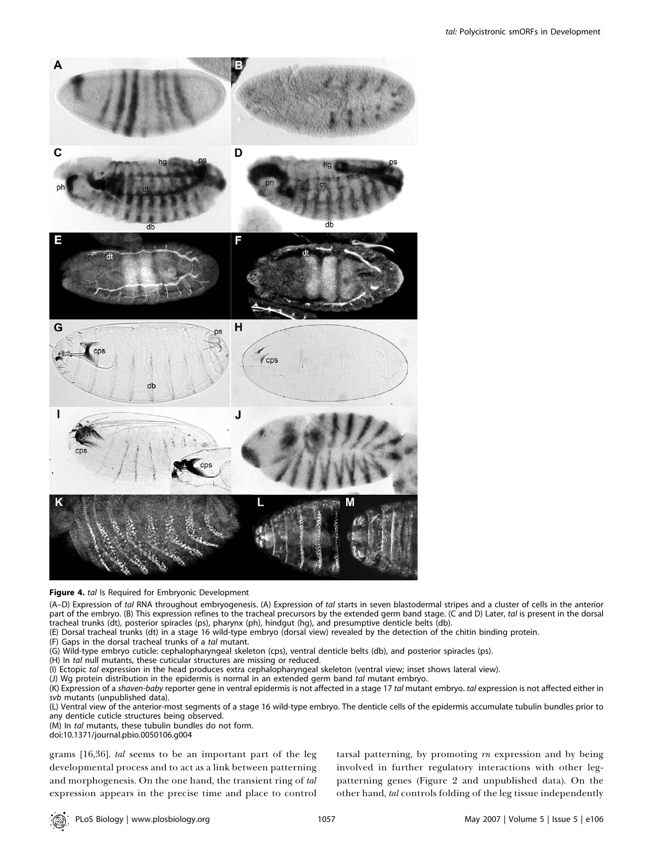

#### Figure 4. tal Is Required for Embryonic Development

(A–D) Expression of tal RNA throughout embryogenesis. (A) Expression of tal starts in seven blastodermal stripes and a cluster of cells in the anterior part of the embryo. (B) This expression refines to the tracheal precursors by the extended germ band stage. (C and D) Later, tal is present in the dorsal tracheal trunks (dt), posterior spiracles (ps), pharynx (ph), hindgut (hg), and presumptive denticle belts (db).

(E) Dorsal tracheal trunks (dt) in a stage 16 wild-type embryo (dorsal view) revealed by the detection of the chitin binding protein.

- (F) Gaps in the dorsal tracheal trunks of a tal mutant.
- (G) Wild-type embryo cuticle: cephalopharyngeal skeleton (cps), ventral denticle belts (db), and posterior spiracles (ps).
- (H) In tal null mutants, these cuticular structures are missing or reduced.
- (I) Ectopic tal expression in the head produces extra cephalopharyngeal skeleton (ventral view; inset shows lateral view).

(J) Wg protein distribution in the epidermis is normal in an extended germ band tal mutant embryo.

(K) Expression of a shaven-baby reporter gene in ventral epidermis is not affected in a stage 17 tal mutant embryo. tal expression is not affected either in svb mutants (unpublished data).

(L) Ventral view of the anterior-most segments of a stage 16 wild-type embryo. The denticle cells of the epidermis accumulate tubulin bundles prior to any denticle cuticle structures being observed.

(M) In tal mutants, these tubulin bundles do not form.

doi:10.1371/journal.pbio.0050106.g004

grams [16,36]. tal seems to be an important part of the leg developmental process and to act as a link between patterning and morphogenesis. On the one hand, the transient ring of tal expression appears in the precise time and place to control

tarsal patterning, by promoting  $rn$  expression and by being involved in further regulatory interactions with other legpatterning genes (Figure 2 and unpublished data). On the other hand, tal controls folding of the leg tissue independently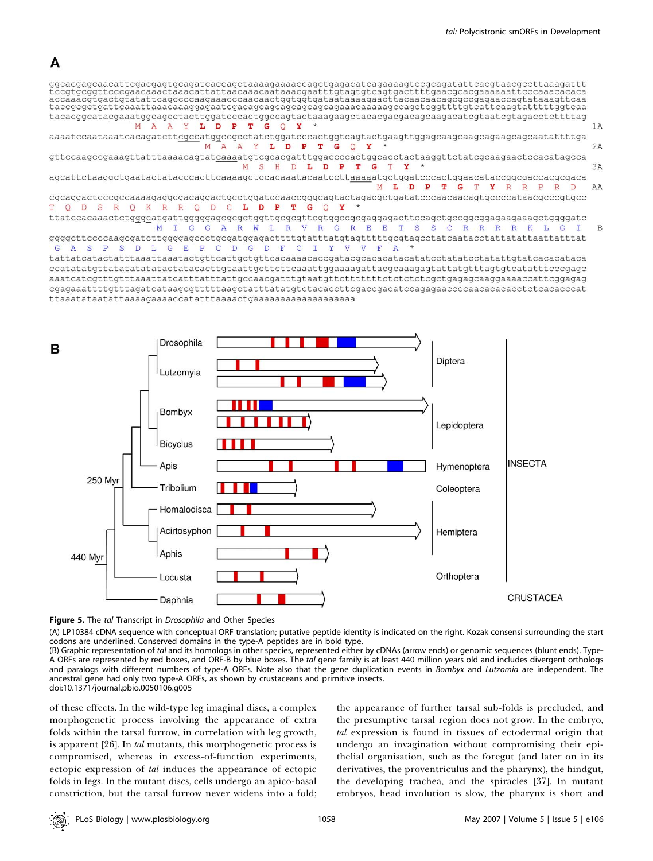# A





Figure 5. The tal Transcript in Drosophila and Other Species

(A) LP10384 cDNA sequence with conceptual ORF translation; putative peptide identity is indicated on the right. Kozak consensi surrounding the start codons are underlined. Conserved domains in the type-A peptides are in bold type.

(B) Graphic representation of tal and its homologs in other species, represented either by cDNAs (arrow ends) or genomic sequences (blunt ends). Type-A ORFs are represented by red boxes, and ORF-B by blue boxes. The tal gene family is at least 440 million years old and includes divergent orthologs and paralogs with different numbers of type-A ORFs. Note also that the gene duplication events in Bombyx and Lutzomia are independent. The ancestral gene had only two type-A ORFs, as shown by crustaceans and primitive insects. doi:10.1371/journal.pbio.0050106.g005

of these effects. In the wild-type leg imaginal discs, a complex morphogenetic process involving the appearance of extra folds within the tarsal furrow, in correlation with leg growth, is apparent [26]. In tal mutants, this morphogenetic process is compromised, whereas in excess-of-function experiments, ectopic expression of tal induces the appearance of ectopic folds in legs. In the mutant discs, cells undergo an apico-basal constriction, but the tarsal furrow never widens into a fold; the appearance of further tarsal sub-folds is precluded, and the presumptive tarsal region does not grow. In the embryo, tal expression is found in tissues of ectodermal origin that undergo an invagination without compromising their epithelial organisation, such as the foregut (and later on in its derivatives, the proventriculus and the pharynx), the hindgut, the developing trachea, and the spiracles [37]. In mutant embryos, head involution is slow, the pharynx is short and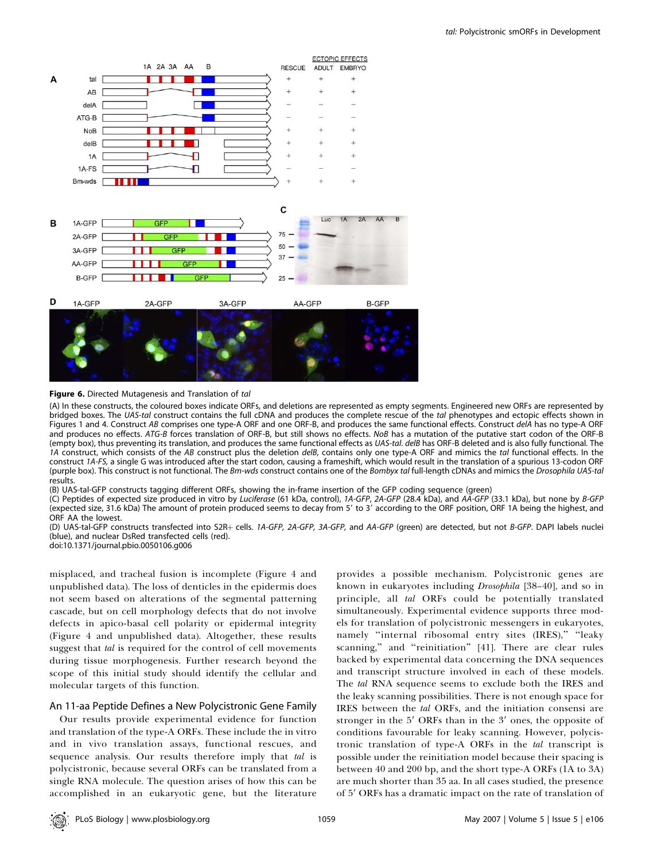

#### Figure 6. Directed Mutagenesis and Translation of tal

(A) In these constructs, the coloured boxes indicate ORFs, and deletions are represented as empty segments. Engineered new ORFs are represented by bridged boxes. The UAS-tal construct contains the full cDNA and produces the complete rescue of the tal phenotypes and ectopic effects shown in Figures 1 and 4. Construct AB comprises one type-A ORF and one ORF-B, and produces the same functional effects. Construct delA has no type-A ORF and produces no effects. ATG-B forces translation of ORF-B, but still shows no effects. NoB has a mutation of the putative start codon of the ORF-B (empty box), thus preventing its translation, and produces the same functional effects as UAS-t*al. delB* has ORF-B deleted and is also fully functional. The 1A construct, which consists of the AB construct plus the deletion delB, contains only one type-A ORF and mimics the tal functional effects. In the construct 1A-FS, a single G was introduced after the start codon, causing a frameshift, which would result in the translation of a spurious 13-codon ORF (purple box). This construct is not functional. The Bm-wds construct contains one of the Bombyx tal full-length cDNAs and mimics the Drosophila UAS-tal results.

(B) UAS-tal-GFP constructs tagging different ORFs, showing the in-frame insertion of the GFP coding sequence (green)

(C) Peptides of expected size produced in vitro by Luciferase (61 kDa, control), 1A-GFP, 2A-GFP (28.4 kDa), and AA-GFP (33.1 kDa), but none by B-GFP (expected size, 31.6 kDa) The amount of protein produced seems to decay from 5' to 3' according to the ORF position, ORF 1A being the highest, and ORF AA the lowest.

(D) UAS-tal-GFP constructs transfected into S2R+ cells. 1A-GFP, 2A-GFP, 3A-GFP, and AA-GFP (green) are detected, but not B-GFP. DAPI labels nuclei (blue), and nuclear DsRed transfected cells (red).

doi:10.1371/journal.pbio.0050106.g006

misplaced, and tracheal fusion is incomplete (Figure 4 and unpublished data). The loss of denticles in the epidermis does not seem based on alterations of the segmental patterning cascade, but on cell morphology defects that do not involve defects in apico-basal cell polarity or epidermal integrity (Figure 4 and unpublished data). Altogether, these results suggest that *tal* is required for the control of cell movements during tissue morphogenesis. Further research beyond the scope of this initial study should identify the cellular and molecular targets of this function.

# An 11-aa Peptide Defines a New Polycistronic Gene Family

Our results provide experimental evidence for function and translation of the type-A ORFs. These include the in vitro and in vivo translation assays, functional rescues, and sequence analysis. Our results therefore imply that tal is polycistronic, because several ORFs can be translated from a single RNA molecule. The question arises of how this can be accomplished in an eukaryotic gene, but the literature

provides a possible mechanism. Polycistronic genes are known in eukaryotes including Drosophila [38-40], and so in principle, all tal ORFs could be potentially translated simultaneously. Experimental evidence supports three models for translation of polycistronic messengers in eukaryotes, namely ''internal ribosomal entry sites (IRES),'' ''leaky scanning,'' and ''reinitiation'' [41]. There are clear rules backed by experimental data concerning the DNA sequences and transcript structure involved in each of these models. The tal RNA sequence seems to exclude both the IRES and the leaky scanning possibilities. There is not enough space for IRES between the tal ORFs, and the initiation consensi are stronger in the  $5'$  ORFs than in the  $3'$  ones, the opposite of conditions favourable for leaky scanning. However, polycistronic translation of type-A ORFs in the tal transcript is possible under the reinitiation model because their spacing is between 40 and 200 bp, and the short type-A ORFs (1A to 3A) are much shorter than 35 aa. In all cases studied, the presence of 5' ORFs has a dramatic impact on the rate of translation of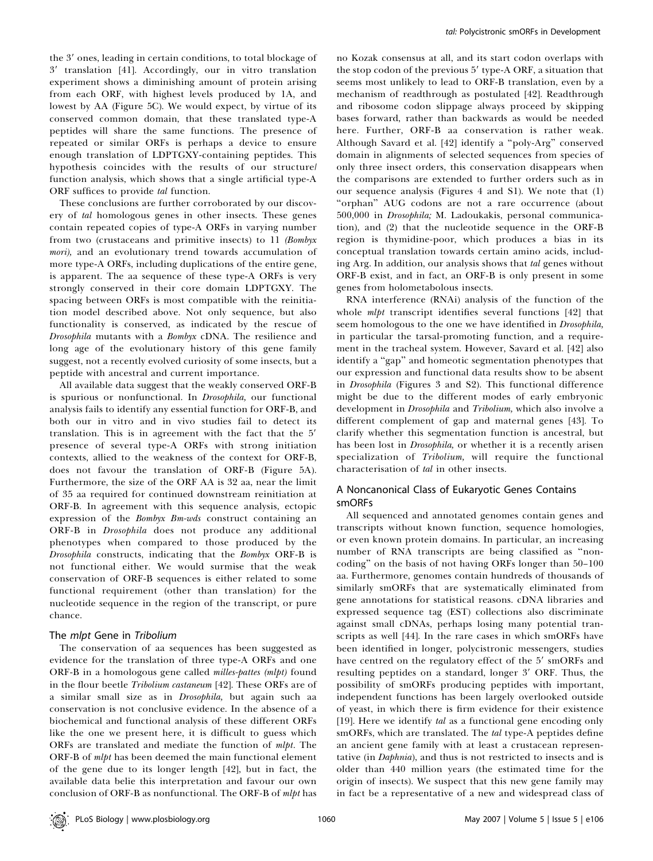the 3' ones, leading in certain conditions, to total blockage of 3' translation [41]. Accordingly, our in vitro translation experiment shows a diminishing amount of protein arising from each ORF, with highest levels produced by 1A, and lowest by AA (Figure 5C). We would expect, by virtue of its conserved common domain, that these translated type-A peptides will share the same functions. The presence of repeated or similar ORFs is perhaps a device to ensure enough translation of LDPTGXY-containing peptides. This hypothesis coincides with the results of our structure/ function analysis, which shows that a single artificial type-A ORF suffices to provide tal function.

These conclusions are further corroborated by our discovery of tal homologous genes in other insects. These genes contain repeated copies of type-A ORFs in varying number from two (crustaceans and primitive insects) to 11 (Bombyx mori), and an evolutionary trend towards accumulation of more type-A ORFs, including duplications of the entire gene, is apparent. The aa sequence of these type-A ORFs is very strongly conserved in their core domain LDPTGXY. The spacing between ORFs is most compatible with the reinitiation model described above. Not only sequence, but also functionality is conserved, as indicated by the rescue of Drosophila mutants with a Bombyx cDNA. The resilience and long age of the evolutionary history of this gene family suggest, not a recently evolved curiosity of some insects, but a peptide with ancestral and current importance.

All available data suggest that the weakly conserved ORF-B is spurious or nonfunctional. In Drosophila, our functional analysis fails to identify any essential function for ORF-B, and both our in vitro and in vivo studies fail to detect its translation. This is in agreement with the fact that the 5' presence of several type-A ORFs with strong initiation contexts, allied to the weakness of the context for ORF-B, does not favour the translation of ORF-B (Figure 5A). Furthermore, the size of the ORF AA is 32 aa, near the limit of 35 aa required for continued downstream reinitiation at ORF-B. In agreement with this sequence analysis, ectopic expression of the Bombyx Bm-wds construct containing an ORF-B in Drosophila does not produce any additional phenotypes when compared to those produced by the Drosophila constructs, indicating that the Bombyx ORF-B is not functional either. We would surmise that the weak conservation of ORF-B sequences is either related to some functional requirement (other than translation) for the nucleotide sequence in the region of the transcript, or pure chance.

#### The mlpt Gene in Tribolium

The conservation of aa sequences has been suggested as evidence for the translation of three type-A ORFs and one ORF-B in a homologous gene called milles-pattes (mlpt) found in the flour beetle Tribolium castaneum [42]. These ORFs are of a similar small size as in Drosophila, but again such aa conservation is not conclusive evidence. In the absence of a biochemical and functional analysis of these different ORFs like the one we present here, it is difficult to guess which ORFs are translated and mediate the function of *mlpt*. The ORF-B of mlpt has been deemed the main functional element of the gene due to its longer length [42], but in fact, the available data belie this interpretation and favour our own conclusion of ORF-B as nonfunctional. The ORF-B of mlpt has

no Kozak consensus at all, and its start codon overlaps with the stop codon of the previous 5' type-A ORF, a situation that seems most unlikely to lead to ORF-B translation, even by a mechanism of readthrough as postulated [42]. Readthrough and ribosome codon slippage always proceed by skipping bases forward, rather than backwards as would be needed here. Further, ORF-B aa conservation is rather weak. Although Savard et al. [42] identify a ''poly-Arg'' conserved domain in alignments of selected sequences from species of only three insect orders, this conservation disappears when the comparisons are extended to further orders such as in our sequence analysis (Figures 4 and S1). We note that (1) "orphan" AUG codons are not a rare occurrence (about 500,000 in Drosophila; M. Ladoukakis, personal communication), and (2) that the nucleotide sequence in the ORF-B region is thymidine-poor, which produces a bias in its conceptual translation towards certain amino acids, including Arg. In addition, our analysis shows that tal genes without ORF-B exist, and in fact, an ORF-B is only present in some genes from holometabolous insects.

RNA interference (RNAi) analysis of the function of the whole *mlpt* transcript identifies several functions [42] that seem homologous to the one we have identified in Drosophila, in particular the tarsal-promoting function, and a requirement in the tracheal system. However, Savard et al. [42] also identify a "gap" and homeotic segmentation phenotypes that our expression and functional data results show to be absent in Drosophila (Figures 3 and S2). This functional difference might be due to the different modes of early embryonic development in Drosophila and Tribolium, which also involve a different complement of gap and maternal genes [43]. To clarify whether this segmentation function is ancestral, but has been lost in *Drosophila*, or whether it is a recently arisen specialization of Tribolium, will require the functional characterisation of tal in other insects.

### A Noncanonical Class of Eukaryotic Genes Contains smORFs

All sequenced and annotated genomes contain genes and transcripts without known function, sequence homologies, or even known protein domains. In particular, an increasing number of RNA transcripts are being classified as ''noncoding'' on the basis of not having ORFs longer than 50–100 aa. Furthermore, genomes contain hundreds of thousands of similarly smORFs that are systematically eliminated from gene annotations for statistical reasons. cDNA libraries and expressed sequence tag (EST) collections also discriminate against small cDNAs, perhaps losing many potential transcripts as well [44]. In the rare cases in which smORFs have been identified in longer, polycistronic messengers, studies have centred on the regulatory effect of the 5' smORFs and resulting peptides on a standard, longer 3' ORF. Thus, the possibility of smORFs producing peptides with important, independent functions has been largely overlooked outside of yeast, in which there is firm evidence for their existence [19]. Here we identify tal as a functional gene encoding only smORFs, which are translated. The tal type-A peptides define an ancient gene family with at least a crustacean representative (in Daphnia), and thus is not restricted to insects and is older than 440 million years (the estimated time for the origin of insects). We suspect that this new gene family may in fact be a representative of a new and widespread class of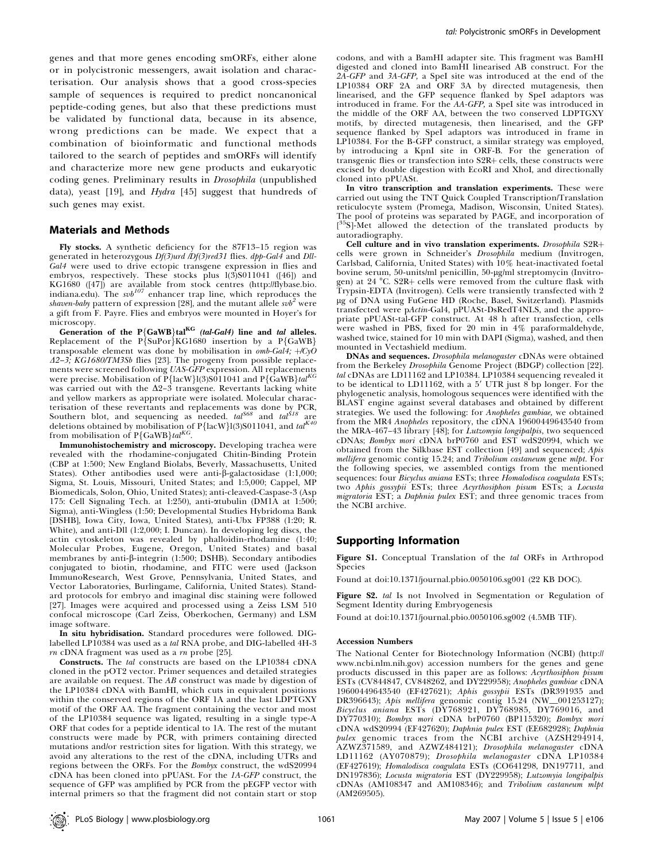genes and that more genes encoding smORFs, either alone or in polycistronic messengers, await isolation and characterisation. Our analysis shows that a good cross-species sample of sequences is required to predict noncanonical peptide-coding genes, but also that these predictions must be validated by functional data, because in its absence, wrong predictions can be made. We expect that a combination of bioinformatic and functional methods tailored to the search of peptides and smORFs will identify and characterize more new gene products and eukaryotic coding genes. Preliminary results in Drosophila (unpublished data), yeast [19], and Hydra [45] suggest that hundreds of such genes may exist.

#### Materials and Methods

Fly stocks. A synthetic deficiency for the 87F13–15 region was generated in heterozygous  $Df(3)$ urd  $\overline{D}f(3)$ red31 flies.  $dpp-Gal4$  and  $Dll-$ Gal4 were used to drive ectopic transgene expression in flies and embryos, respectively. These stocks plus 1(3)S011041 ([46]) and KG1680 ([47]) are available from stock centres (http://flybase.bio.<br>indiana.edu). The svb<sup>107</sup> enhancer trap line, which reproduces the shaven-baby pattern of expression [28], and the mutant allele  $s v b^2$  were a gift from F. Payre. Flies and embryos were mounted in Hoyer's for microscopy.

Generation of the  $P{GaWB}$ tal<sup>KG</sup> (tal-Gal4) line and tal alleles. Replacement of the P{SuPor}KG1680 insertion by a P{GaWB} transposable element was done by mobilisation in  $omb-Gal4$ ;  $+/CyO$  $\Delta$ 2–3; KG1680/TM3Sb flies [23]. The progeny from possible replacements were screened following UAS-GFP expression. All replacements were precise. Mobilisation of  $\overline{P}$ {lacW}l(3)S011041 and  $\overline{P}$ {GaWB}tal was carried out with the  $\Delta 2-3$  transgene. Revertants lacking white and yellow markers as appropriate were isolated. Molecular characterisation of these revertants and replacements was done by PCR, Southern blot, and sequencing as needed.  $tal^{S68}$  and  $tal^{S18}$  are deletions obtained by mobilisation of P{lacW}l(3)S011041, and  $tal^{K40}$ from mobilisation of P{GaWB}tal<sup>KG</sup>.

Immunohistochemistry and microscopy. Developing trachea were revealed with the rhodamine-conjugated Chitin-Binding Protein (CBP at 1:500; New England Biolabs, Beverly, Massachusetts, United States). Other antibodies used were anti- $\beta$ -galactosidase (1:1,000; Sigma, St. Louis, Missouri, United States; and 1:5,000; Cappel, MP Biomedicals, Solon, Ohio, United States); anti-cleaved-Caspase-3 (Asp 175: Cell Signaling Tech. at 1:250), anti-atubulin (DM1A at 1:500; Sigma), anti-Wingless (1:50; Developmental Studies Hybridoma Bank [DSHB], Iowa City, Iowa, United States), anti-Ubx FP388 (1:20; R. White), and anti-Dll (1:2,000; I. Duncan). In developing leg discs, the actin cytoskeleton was revealed by phalloidin-rhodamine (1:40; Molecular Probes, Eugene, Oregon, United States) and basal membranes by anti- $\beta$ -integrin (1:500; DSHB). Secondary antibodies conjugated to biotin, rhodamine, and FITC were used (Jackson ImmunoResearch, West Grove, Pennsylvania, United States, and Vector Laboratories, Burlingame, California, United States). Standard protocols for embryo and imaginal disc staining were followed [27]. Images were acquired and processed using a Zeiss LSM 510 confocal microscope (Carl Zeiss, Oberkochen, Germany) and LSM image software.

In situ hybridisation. Standard procedures were followed. DIGlabelled LP10384 was used as a tal RNA probe, and DIG-labelled 4H-3 rn cDNA fragment was used as a rn probe [25].

Constructs. The tal constructs are based on the LP10384 cDNA cloned in the pOT2 vector. Primer sequences and detailed strategies are available on request. The AB construct was made by digestion of the LP10384 cDNA with BamHI, which cuts in equivalent positions within the conserved regions of the ORF 1A and the last LDPTGXY motif of the ORF AA. The fragment containing the vector and most of the LP10384 sequence was ligated, resulting in a single type-A ORF that codes for a peptide identical to 1A. The rest of the mutant constructs were made by PCR, with primers containing directed mutations and/or restriction sites for ligation. With this strategy, we avoid any alterations to the rest of the cDNA, including UTRs and regions between the ORFs. For the Bombyx construct, the wdS20994 cDNA has been cloned into pPUASt. For the 1A-GFP construct, the sequence of GFP was amplified by PCR from the pEGFP vector with internal primers so that the fragment did not contain start or stop

codons, and with a BamHI adapter site. This fragment was BamHI digested and cloned into BamHI linearised AB construct. For the 2A-GFP and 3A-GFP, a SpeI site was introduced at the end of the LP10384 ORF 2A and ORF 3A by directed mutagenesis, then linearised, and the GFP sequence flanked by SpeI adaptors was introduced in frame. For the AA-GFP, a SpeI site was introduced in the middle of the ORF AA, between the two conserved LDPTGXY motifs, by directed mutagenesis, then linearised, and the GFP sequence flanked by Spel adaptors was introduced in frame in LP10384. For the B-GFP construct, a similar strategy was employed, by introducing a KpnI site in ORF-B. For the generation of transgenic flies or transfection into S2R+ cells, these constructs were excised by double digestion with EcoRI and XhoI, and directionally cloned into pPUASt.

In vitro transcription and translation experiments. These were carried out using the TNT Quick Coupled Transcription/Translation reticulocyte system (Promega, Madison, Wisconsin, United States). The pool of proteins was separated by PAGE, and incorporation of [<sup>35</sup>S]-Met allowed the detection of the translated products by autoradiography.

Cell culture and in vivo translation experiments. Drosophila S2R+ cells were grown in Schneider's Drosophila medium (Invitrogen, Carlsbad, California, United States) with 10% heat-inactivated foetal bovine serum, 50-units/ml penicillin, 50-µg/ml streptomycin (Invitrogen) at 24 °C. S2R+ cells were removed from the culture flask with Trypsin-EDTA (Invitrogen). Cells were transiently transfected with 2 lg of DNA using FuGene HD (Roche, Basel, Switzerland). Plasmids transfected were pActin-Gal4, pPUASt-DsRedT4NLS, and the appropriate pPUASt-tal-GFP construct. At 48 h after transfection, cells were washed in PBS, fixed for 20 min in 4% paraformaldehyde, washed twice, stained for 10 min with DAPI (Sigma), washed, and then mounted in Vectashield medium.

DNAs and sequences. Drosophila melanogaster cDNAs were obtained from the Berkeley Drosophila Genome Project (BDGP) collection [22]. tal cDNAs are LD11162 and LP10384. LP10384 sequencing revealed it to be identical to LD11162, with a 5' UTR just  $8$  bp longer. For the phylogenetic analysis, homologous sequences were identified with the BLAST engine against several databases and obtained by different strategies. We used the following: for Anopheles gambiae, we obtained from the MR4 Anopheles repository, the cDNA 19600449643540 from the MRA-467–43 library [48]; for Lutzomyia longipalpis, two sequenced cDNAs; Bombyx mori cDNA brP0760 and EST wdS20994, which we obtained from the Silkbase EST collection [49] and sequenced; Apis mellifera genomic contig 15.24; and Tribolium castaneum gene mlpt. For the following species, we assembled contigs from the mentioned sequences: four Bicyclus aniana ESTs; three Homalodisca coagulata ESTs; two Aphis gossypii ESTs; three Acyrthosiphon pisum ESTs; a Locusta migratoria EST; a Daphnia pulex EST; and three genomic traces from the NCBI archive.

### Supporting Information

Figure S1. Conceptual Translation of the tal ORFs in Arthropod Species

Found at doi:10.1371/journal.pbio.0050106.sg001 (22 KB DOC).

Figure S2. tal Is not Involved in Segmentation or Regulation of Segment Identity during Embryogenesis

Found at doi:10.1371/journal.pbio.0050106.sg002 (4.5MB TIF).

#### Accession Numbers

The National Center for Biotechnology Information (NCBI) (http:// www.ncbi.nlm.nih.gov) accession numbers for the genes and gene products discussed in this paper are as follows: Acyrthosiphon pisum ESTs (CV844847, CV848262, and DY229958); Anopheles gambiae cDNA 19600449643540 (EF427621); Aphis gossypii ESTs (DR391935 and DR396643); Apis mellifera genomic contig 15.24 (NW\_001253127); Bicyclus aniana ESTs (DY768921, DY768985, DY769016, and DY770310); Bombyx mori cDNA brP0760 (BP115320); Bombyx mori cDNA wdS20994 (EF427620); Daphnia pulex EST (EE682928); Daphnia  $puler$  genomic traces from the NCBI archive  $(AZSH294914,$ AZWZ371589, and AZWZ484121); Drosophila melanogaster cDNA LD11162 (AY070879); Drosophila melanogaster cDNA LP10384 (EF427619); Homalodisca coagulata ESTs (CO641298, DN197711, and DN197836); Locusta migratoria EST (DY229958); Lutzomyia longipalpis cDNAs (AM108347 and AM108346); and Tribolium castaneum mlpt (AM269505).